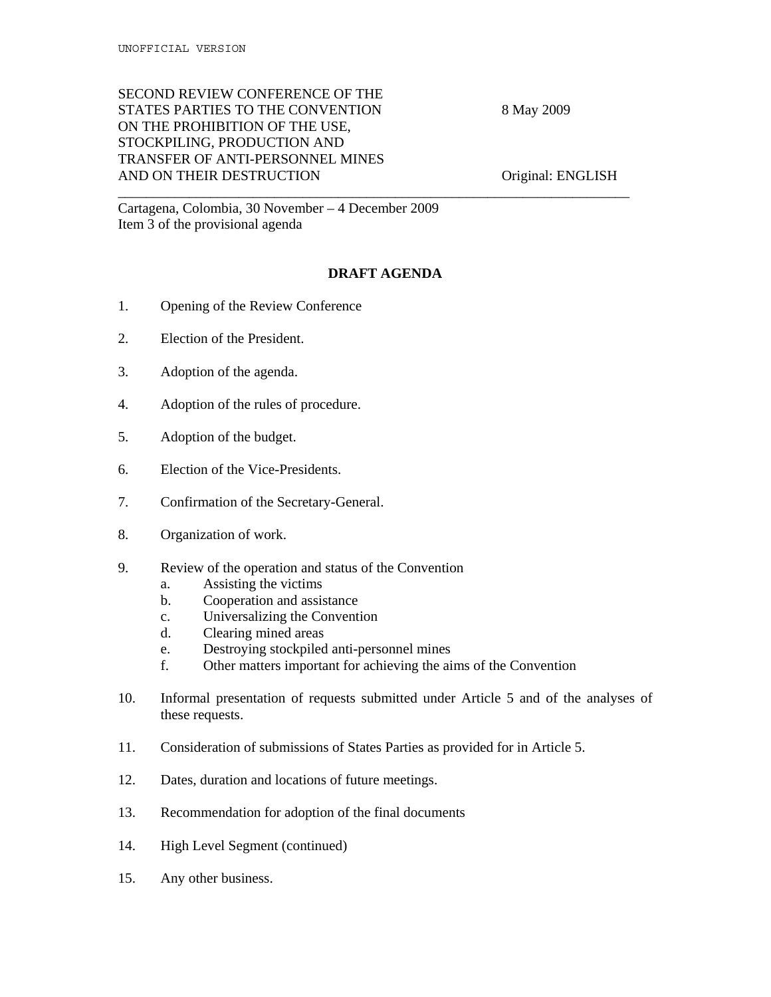## SECOND REVIEW CONFERENCE OF THE STATES PARTIES TO THE CONVENTION 8 May 2009 ON THE PROHIBITION OF THE USE, STOCKPILING, PRODUCTION AND TRANSFER OF ANTI-PERSONNEL MINES AND ON THEIR DESTRUCTION Original: ENGLISH

Cartagena, Colombia, 30 November – 4 December 2009 Item 3 of the provisional agenda

## **DRAFT AGENDA**

\_\_\_\_\_\_\_\_\_\_\_\_\_\_\_\_\_\_\_\_\_\_\_\_\_\_\_\_\_\_\_\_\_\_\_\_\_\_\_\_\_\_\_\_\_\_\_\_\_\_\_\_\_\_\_\_\_\_\_\_\_\_\_\_\_\_\_\_\_\_\_\_

- 1. Opening of the Review Conference
- 2. Election of the President.
- 3. Adoption of the agenda.
- 4. Adoption of the rules of procedure.
- 5. Adoption of the budget.
- 6. Election of the Vice-Presidents.
- 7. Confirmation of the Secretary-General.
- 8. Organization of work.
- 9. Review of the operation and status of the Convention
	- a. Assisting the victims
	- b. Cooperation and assistance
	- c. Universalizing the Convention
	- d. Clearing mined areas
	- e. Destroying stockpiled anti-personnel mines
	- f. Other matters important for achieving the aims of the Convention
- 10. Informal presentation of requests submitted under Article 5 and of the analyses of these requests.
- 11. Consideration of submissions of States Parties as provided for in Article 5.
- 12. Dates, duration and locations of future meetings.
- 13. Recommendation for adoption of the final documents
- 14. High Level Segment (continued)
- 15. Any other business.